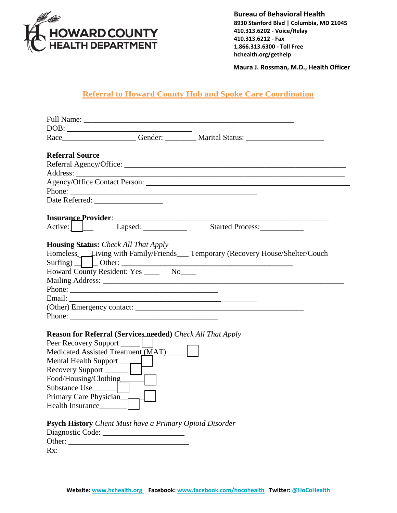

**Bureau of Behavioral Health 8930 Stanford Blvd | Columbia, MD 21045 410.313.6202 - Voice/Relay 410.313.6212 - Fax 1.866.313.6300 - Toll Free hchealth.org/gethelp**

 **Maura J. Rossman, M.D., Health Officer**

## **Referral to Howard County Hub and Spoke Care Coordination**

| DOB:<br>Race____________________Gender: __________ Marital Status: _____________________<br><b>Referral Source</b><br>Phone:<br>$\left[\right]$ $\left[\right]$<br>Started Process:_____________<br>Lapsed:<br><b>Housing Status:</b> Check All That Apply<br>Homeless Luiving with Family/Friends Temporary (Recovery House/Shelter/Couch<br>Howard County Resident: Yes _______ No_____<br>Phone:<br>Phone:<br>Reason for Referral (Services needed) Check All That Apply<br>Medicated Assisted Treatment (MAT) ______<br>Food/Housing/Clothing<br>Primary Care Physician<br>Health Insurance<br>Psych History Client Must have a Primary Opioid Disorder |  |  |
|-------------------------------------------------------------------------------------------------------------------------------------------------------------------------------------------------------------------------------------------------------------------------------------------------------------------------------------------------------------------------------------------------------------------------------------------------------------------------------------------------------------------------------------------------------------------------------------------------------------------------------------------------------------|--|--|
|                                                                                                                                                                                                                                                                                                                                                                                                                                                                                                                                                                                                                                                             |  |  |
|                                                                                                                                                                                                                                                                                                                                                                                                                                                                                                                                                                                                                                                             |  |  |
|                                                                                                                                                                                                                                                                                                                                                                                                                                                                                                                                                                                                                                                             |  |  |
|                                                                                                                                                                                                                                                                                                                                                                                                                                                                                                                                                                                                                                                             |  |  |
|                                                                                                                                                                                                                                                                                                                                                                                                                                                                                                                                                                                                                                                             |  |  |
|                                                                                                                                                                                                                                                                                                                                                                                                                                                                                                                                                                                                                                                             |  |  |
|                                                                                                                                                                                                                                                                                                                                                                                                                                                                                                                                                                                                                                                             |  |  |
|                                                                                                                                                                                                                                                                                                                                                                                                                                                                                                                                                                                                                                                             |  |  |
|                                                                                                                                                                                                                                                                                                                                                                                                                                                                                                                                                                                                                                                             |  |  |
|                                                                                                                                                                                                                                                                                                                                                                                                                                                                                                                                                                                                                                                             |  |  |
|                                                                                                                                                                                                                                                                                                                                                                                                                                                                                                                                                                                                                                                             |  |  |
|                                                                                                                                                                                                                                                                                                                                                                                                                                                                                                                                                                                                                                                             |  |  |
|                                                                                                                                                                                                                                                                                                                                                                                                                                                                                                                                                                                                                                                             |  |  |
|                                                                                                                                                                                                                                                                                                                                                                                                                                                                                                                                                                                                                                                             |  |  |
|                                                                                                                                                                                                                                                                                                                                                                                                                                                                                                                                                                                                                                                             |  |  |
|                                                                                                                                                                                                                                                                                                                                                                                                                                                                                                                                                                                                                                                             |  |  |
|                                                                                                                                                                                                                                                                                                                                                                                                                                                                                                                                                                                                                                                             |  |  |
|                                                                                                                                                                                                                                                                                                                                                                                                                                                                                                                                                                                                                                                             |  |  |
|                                                                                                                                                                                                                                                                                                                                                                                                                                                                                                                                                                                                                                                             |  |  |
|                                                                                                                                                                                                                                                                                                                                                                                                                                                                                                                                                                                                                                                             |  |  |
|                                                                                                                                                                                                                                                                                                                                                                                                                                                                                                                                                                                                                                                             |  |  |
|                                                                                                                                                                                                                                                                                                                                                                                                                                                                                                                                                                                                                                                             |  |  |
|                                                                                                                                                                                                                                                                                                                                                                                                                                                                                                                                                                                                                                                             |  |  |
|                                                                                                                                                                                                                                                                                                                                                                                                                                                                                                                                                                                                                                                             |  |  |
|                                                                                                                                                                                                                                                                                                                                                                                                                                                                                                                                                                                                                                                             |  |  |
|                                                                                                                                                                                                                                                                                                                                                                                                                                                                                                                                                                                                                                                             |  |  |
|                                                                                                                                                                                                                                                                                                                                                                                                                                                                                                                                                                                                                                                             |  |  |
|                                                                                                                                                                                                                                                                                                                                                                                                                                                                                                                                                                                                                                                             |  |  |
|                                                                                                                                                                                                                                                                                                                                                                                                                                                                                                                                                                                                                                                             |  |  |
|                                                                                                                                                                                                                                                                                                                                                                                                                                                                                                                                                                                                                                                             |  |  |
|                                                                                                                                                                                                                                                                                                                                                                                                                                                                                                                                                                                                                                                             |  |  |
|                                                                                                                                                                                                                                                                                                                                                                                                                                                                                                                                                                                                                                                             |  |  |
|                                                                                                                                                                                                                                                                                                                                                                                                                                                                                                                                                                                                                                                             |  |  |
|                                                                                                                                                                                                                                                                                                                                                                                                                                                                                                                                                                                                                                                             |  |  |
| Rx: $\qquad \qquad$                                                                                                                                                                                                                                                                                                                                                                                                                                                                                                                                                                                                                                         |  |  |